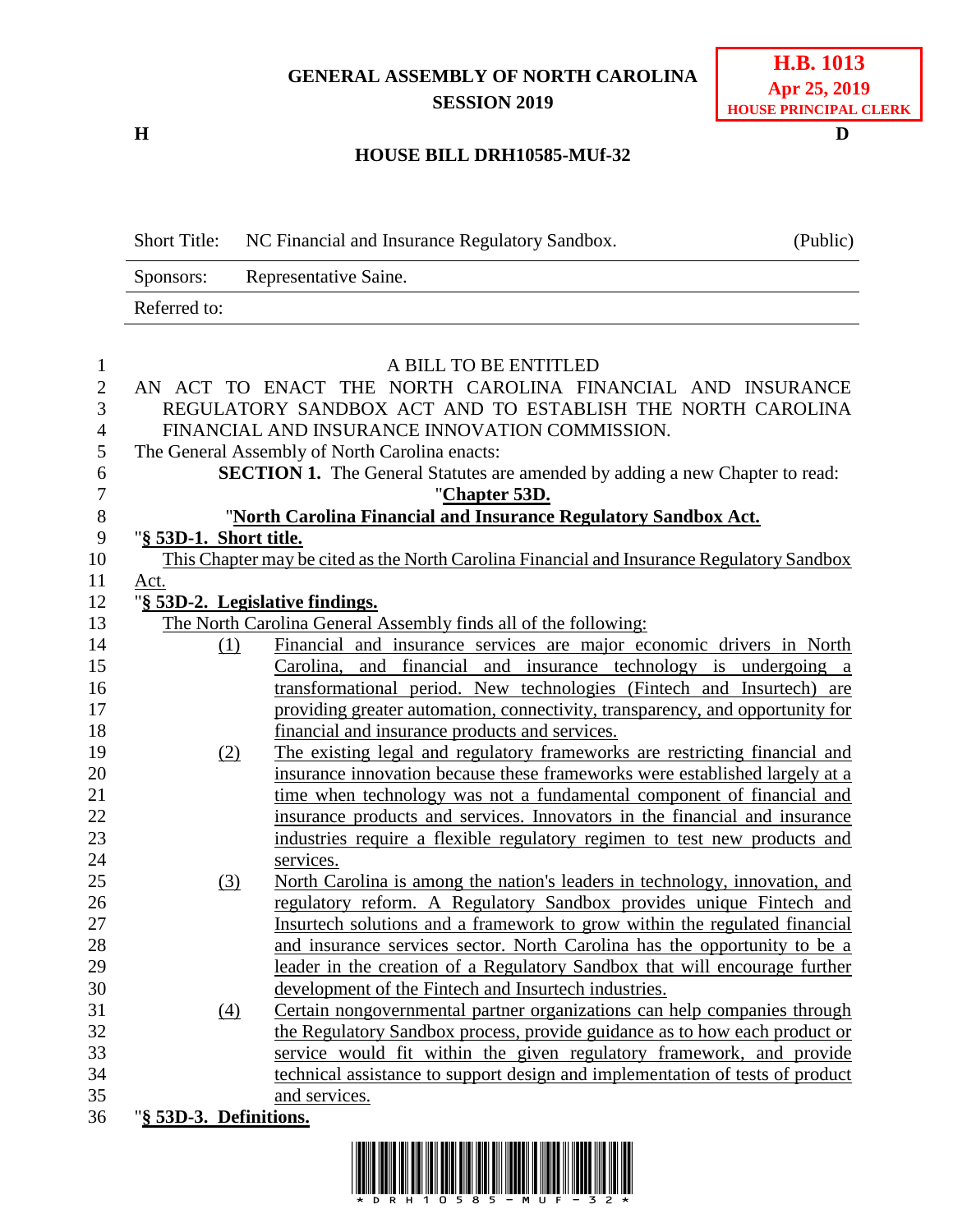## **GENERAL ASSEMBLY OF NORTH CAROLINA SESSION 2019**

**H D**

## **H.B. 1013 Apr 25, 2019 HOUSE PRINCIPAL CLERK**

## **HOUSE BILL DRH10585-MUf-32**

Short Title: NC Financial and Insurance Regulatory Sandbox. (Public) Sponsors: Representative Saine. Referred to: 1 A BILL TO BE ENTITLED<br>2 AN ACT TO ENACT THE NORTH CAROLINA FIN AN ACT TO ENACT THE NORTH CAROLINA FINANCIAL AND INSURANCE REGULATORY SANDBOX ACT AND TO ESTABLISH THE NORTH CAROLINA FINANCIAL AND INSURANCE INNOVATION COMMISSION. The General Assembly of North Carolina enacts: **SECTION 1.** The General Statutes are amended by adding a new Chapter to read: "**Chapter 53D.** "**North Carolina Financial and Insurance Regulatory Sandbox Act.** "**§ 53D-1. Short title.** 10 This Chapter may be cited as the North Carolina Financial and Insurance Regulatory Sandbox Act. "**§ 53D-2. Legislative findings.** The North Carolina General Assembly finds all of the following: (1) Financial and insurance services are major economic drivers in North Carolina, and financial and insurance technology is undergoing a transformational period. New technologies (Fintech and Insurtech) are providing greater automation, connectivity, transparency, and opportunity for financial and insurance products and services. (2) The existing legal and regulatory frameworks are restricting financial and insurance innovation because these frameworks were established largely at a 21 time when technology was not a fundamental component of financial and insurance products and services. Innovators in the financial and insurance industries require a flexible regulatory regimen to test new products and services. (3) North Carolina is among the nation's leaders in technology, innovation, and regulatory reform. A Regulatory Sandbox provides unique Fintech and Insurtech solutions and a framework to grow within the regulated financial and insurance services sector. North Carolina has the opportunity to be a leader in the creation of a Regulatory Sandbox that will encourage further development of the Fintech and Insurtech industries. (4) Certain nongovernmental partner organizations can help companies through the Regulatory Sandbox process, provide guidance as to how each product or service would fit within the given regulatory framework, and provide technical assistance to support design and implementation of tests of product and services. "**§ 53D-3. Definitions.**

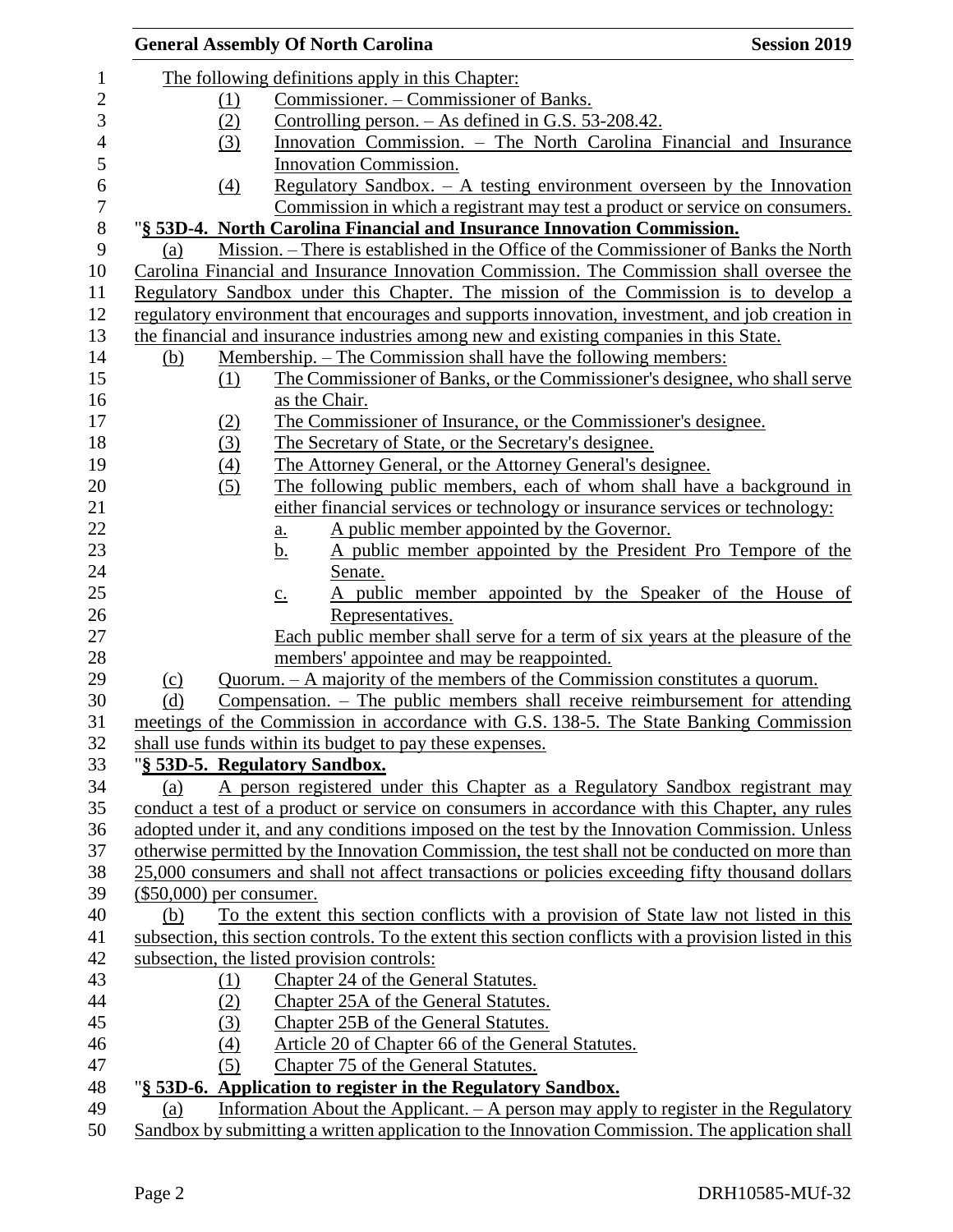|                           |     | <b>General Assembly Of North Carolina</b>                                                               | <b>Session 2019</b> |
|---------------------------|-----|---------------------------------------------------------------------------------------------------------|---------------------|
|                           |     | The following definitions apply in this Chapter:                                                        |                     |
|                           | (1) | Commissioner. – Commissioner of Banks.                                                                  |                     |
|                           | (2) | Controlling person. $-$ As defined in G.S. 53-208.42.                                                   |                     |
|                           | (3) | Innovation Commission. – The North Carolina Financial and Insurance                                     |                     |
|                           |     | Innovation Commission.                                                                                  |                     |
|                           | (4) | Regulatory Sandbox. $-$ A testing environment overseen by the Innovation                                |                     |
|                           |     | Commission in which a registrant may test a product or service on consumers.                            |                     |
|                           |     | "§ 53D-4. North Carolina Financial and Insurance Innovation Commission.                                 |                     |
| (a)                       |     | Mission. – There is established in the Office of the Commissioner of Banks the North                    |                     |
|                           |     | Carolina Financial and Insurance Innovation Commission. The Commission shall oversee the                |                     |
|                           |     | Regulatory Sandbox under this Chapter. The mission of the Commission is to develop a                    |                     |
|                           |     | regulatory environment that encourages and supports innovation, investment, and job creation in         |                     |
|                           |     | the financial and insurance industries among new and existing companies in this State.                  |                     |
| (b)                       |     | <u>Membership. – The Commission shall have the following members:</u>                                   |                     |
|                           | (1) | The Commissioner of Banks, or the Commissioner's designee, who shall serve                              |                     |
|                           |     | as the Chair.                                                                                           |                     |
|                           | (2) | The Commissioner of Insurance, or the Commissioner's designee.                                          |                     |
|                           | (3) | The Secretary of State, or the Secretary's designee.                                                    |                     |
|                           | (4) | The Attorney General, or the Attorney General's designee.                                               |                     |
|                           | (5) | The following public members, each of whom shall have a background in                                   |                     |
|                           |     | either financial services or technology or insurance services or technology:                            |                     |
|                           |     | A public member appointed by the Governor.                                                              |                     |
|                           |     | <u>a.</u><br>A public member appointed by the President Pro Tempore of the<br><u>b.</u>                 |                     |
|                           |     | Senate.                                                                                                 |                     |
|                           |     | A public member appointed by the Speaker of the House of                                                |                     |
|                           |     | $\underline{c}$ .<br>Representatives.                                                                   |                     |
|                           |     | Each public member shall serve for a term of six years at the pleasure of the                           |                     |
|                           |     | members' appointee and may be reappointed.                                                              |                     |
| $\Omega$                  |     | Quorum. - A majority of the members of the Commission constitutes a quorum.                             |                     |
| (d)                       |     | Compensation. $-$ The public members shall receive reimbursement for attending                          |                     |
|                           |     | meetings of the Commission in accordance with G.S. 138-5. The State Banking Commission                  |                     |
|                           |     | shall use funds within its budget to pay these expenses.                                                |                     |
|                           |     | "§ 53D-5. Regulatory Sandbox.                                                                           |                     |
| (a)                       |     | A person registered under this Chapter as a Regulatory Sandbox registrant may                           |                     |
|                           |     | conduct a test of a product or service on consumers in accordance with this Chapter, any rules          |                     |
|                           |     | adopted under it, and any conditions imposed on the test by the Innovation Commission. Unless           |                     |
|                           |     | otherwise permitted by the Innovation Commission, the test shall not be conducted on more than          |                     |
|                           |     | 25,000 consumers and shall not affect transactions or policies exceeding fifty thousand dollars         |                     |
| $($50,000)$ per consumer. |     |                                                                                                         |                     |
| (b)                       |     | To the extent this section conflicts with a provision of State law not listed in this                   |                     |
|                           |     | subsection, this section controls. To the extent this section conflicts with a provision listed in this |                     |
|                           |     | subsection, the listed provision controls:                                                              |                     |
|                           | (1) | Chapter 24 of the General Statutes.                                                                     |                     |
|                           | (2) | Chapter 25A of the General Statutes.                                                                    |                     |
|                           | (3) | Chapter 25B of the General Statutes.                                                                    |                     |
|                           | (4) | Article 20 of Chapter 66 of the General Statutes.                                                       |                     |
|                           | (5) | Chapter 75 of the General Statutes.                                                                     |                     |
|                           |     | "§ 53D-6. Application to register in the Regulatory Sandbox.                                            |                     |
| (a)                       |     | Information About the Applicant. - A person may apply to register in the Regulatory                     |                     |
|                           |     | Sandbox by submitting a written application to the Innovation Commission. The application shall         |                     |
|                           |     |                                                                                                         |                     |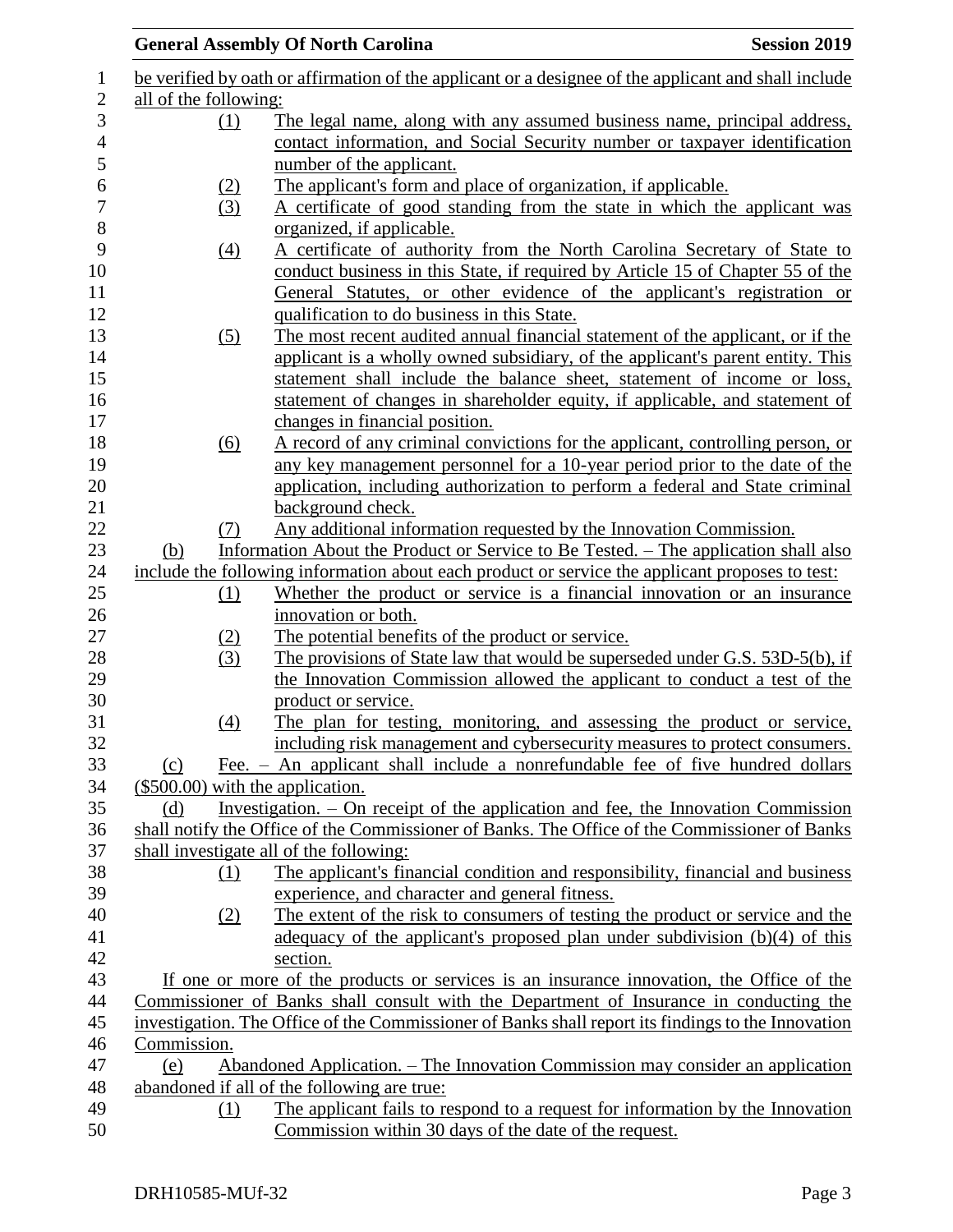|                       |                   | <b>General Assembly Of North Carolina</b>                                                            | <b>Session 2019</b> |
|-----------------------|-------------------|------------------------------------------------------------------------------------------------------|---------------------|
|                       |                   | be verified by oath or affirmation of the applicant or a designee of the applicant and shall include |                     |
| all of the following: |                   |                                                                                                      |                     |
|                       | (1)               | The legal name, along with any assumed business name, principal address,                             |                     |
|                       |                   | contact information, and Social Security number or taxpayer identification                           |                     |
|                       |                   | number of the applicant.                                                                             |                     |
|                       | (2)               | The applicant's form and place of organization, if applicable.                                       |                     |
|                       | (3)               | A certificate of good standing from the state in which the applicant was                             |                     |
|                       |                   | organized, if applicable.                                                                            |                     |
|                       | $\left(4\right)$  | A certificate of authority from the North Carolina Secretary of State to                             |                     |
|                       |                   | conduct business in this State, if required by Article 15 of Chapter 55 of the                       |                     |
|                       |                   | General Statutes, or other evidence of the applicant's registration or                               |                     |
|                       |                   | qualification to do business in this State.                                                          |                     |
|                       | (5)               | The most recent audited annual financial statement of the applicant, or if the                       |                     |
|                       |                   | applicant is a wholly owned subsidiary, of the applicant's parent entity. This                       |                     |
|                       |                   | statement shall include the balance sheet, statement of income or loss,                              |                     |
|                       |                   | statement of changes in shareholder equity, if applicable, and statement of                          |                     |
|                       |                   | changes in financial position.                                                                       |                     |
|                       | (6)               | A record of any criminal convictions for the applicant, controlling person, or                       |                     |
|                       |                   | any key management personnel for a 10-year period prior to the date of the                           |                     |
|                       |                   | application, including authorization to perform a federal and State criminal                         |                     |
|                       |                   | background check.                                                                                    |                     |
|                       | (7)               | Any additional information requested by the Innovation Commission.                                   |                     |
| (b)                   |                   | Information About the Product or Service to Be Tested. - The application shall also                  |                     |
|                       |                   | include the following information about each product or service the applicant proposes to test:      |                     |
|                       | (1)               | Whether the product or service is a financial innovation or an insurance                             |                     |
|                       |                   | innovation or both.                                                                                  |                     |
|                       |                   | The potential benefits of the product or service.                                                    |                     |
|                       | $\frac{(2)}{(3)}$ | The provisions of State law that would be superseded under G.S. 53D-5(b), if                         |                     |
|                       |                   | the Innovation Commission allowed the applicant to conduct a test of the                             |                     |
|                       |                   | product or service.                                                                                  |                     |
|                       | (4)               | The plan for testing, monitoring, and assessing the product or service,                              |                     |
|                       |                   | including risk management and cybersecurity measures to protect consumers.                           |                     |
| (c)                   |                   | Fee. - An applicant shall include a nonrefundable fee of five hundred dollars                        |                     |
|                       |                   | $($500.00)$ with the application.                                                                    |                     |
| (d)                   |                   | Investigation. – On receipt of the application and fee, the Innovation Commission                    |                     |
|                       |                   | shall notify the Office of the Commissioner of Banks. The Office of the Commissioner of Banks        |                     |
|                       |                   | shall investigate all of the following:                                                              |                     |
|                       | (1)               | The applicant's financial condition and responsibility, financial and business                       |                     |
|                       |                   | experience, and character and general fitness.                                                       |                     |
|                       | (2)               | The extent of the risk to consumers of testing the product or service and the                        |                     |
|                       |                   | adequacy of the applicant's proposed plan under subdivision $(b)(4)$ of this                         |                     |
|                       |                   | section.                                                                                             |                     |
|                       |                   | If one or more of the products or services is an insurance innovation, the Office of the             |                     |
|                       |                   | Commissioner of Banks shall consult with the Department of Insurance in conducting the               |                     |
|                       |                   | investigation. The Office of the Commissioner of Banks shall report its findings to the Innovation   |                     |
| Commission.           |                   |                                                                                                      |                     |
| (e)                   |                   | Abandoned Application. – The Innovation Commission may consider an application                       |                     |
|                       |                   | abandoned if all of the following are true:                                                          |                     |
|                       | (1)               | The applicant fails to respond to a request for information by the Innovation                        |                     |
|                       |                   | Commission within 30 days of the date of the request.                                                |                     |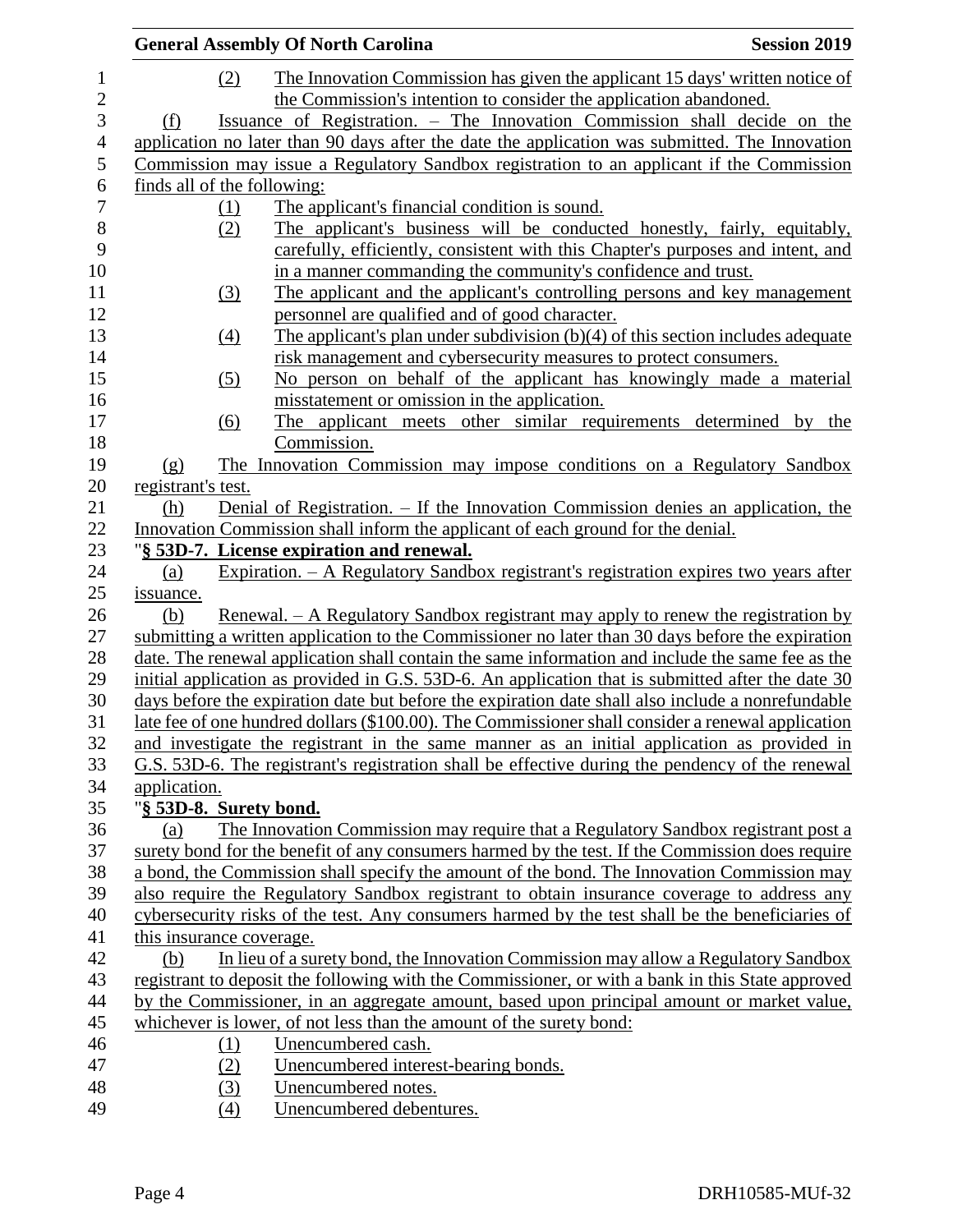|                             | <b>General Assembly Of North Carolina</b>                                                         | <b>Session 2019</b> |
|-----------------------------|---------------------------------------------------------------------------------------------------|---------------------|
| (2)                         | The Innovation Commission has given the applicant 15 days' written notice of                      |                     |
|                             | the Commission's intention to consider the application abandoned.                                 |                     |
| (f)                         | Issuance of Registration. – The Innovation Commission shall decide on the                         |                     |
|                             |                                                                                                   |                     |
|                             | application no later than 90 days after the date the application was submitted. The Innovation    |                     |
|                             | Commission may issue a Regulatory Sandbox registration to an applicant if the Commission          |                     |
| finds all of the following: |                                                                                                   |                     |
| (1)                         | The applicant's financial condition is sound.                                                     |                     |
| (2)                         | The applicant's business will be conducted honestly, fairly, equitably,                           |                     |
|                             | carefully, efficiently, consistent with this Chapter's purposes and intent, and                   |                     |
|                             | in a manner commanding the community's confidence and trust.                                      |                     |
| (3)                         | The applicant and the applicant's controlling persons and key management                          |                     |
|                             | personnel are qualified and of good character.                                                    |                     |
| (4)                         | The applicant's plan under subdivision (b)(4) of this section includes adequate                   |                     |
|                             | risk management and cybersecurity measures to protect consumers.                                  |                     |
| (5)                         | No person on behalf of the applicant has knowingly made a material                                |                     |
|                             | misstatement or omission in the application.                                                      |                     |
| (6)                         | The applicant meets other similar requirements determined by the                                  |                     |
|                             | Commission.                                                                                       |                     |
| $\Omega$                    | The Innovation Commission may impose conditions on a Regulatory Sandbox                           |                     |
| registrant's test.          |                                                                                                   |                     |
| (h)                         | Denial of Registration. - If the Innovation Commission denies an application, the                 |                     |
|                             | Innovation Commission shall inform the applicant of each ground for the denial.                   |                     |
|                             | "§ 53D-7. License expiration and renewal.                                                         |                     |
| (a)                         | Expiration. - A Regulatory Sandbox registrant's registration expires two years after              |                     |
| <i>issuance.</i>            |                                                                                                   |                     |
| (b)                         | Renewal. – A Regulatory Sandbox registrant may apply to renew the registration by                 |                     |
|                             | submitting a written application to the Commissioner no later than 30 days before the expiration  |                     |
|                             | date. The renewal application shall contain the same information and include the same fee as the  |                     |
|                             | initial application as provided in G.S. 53D-6. An application that is submitted after the date 30 |                     |
|                             | days before the expiration date but before the expiration date shall also include a nonrefundable |                     |
|                             |                                                                                                   |                     |
|                             | late fee of one hundred dollars (\$100.00). The Commissioner shall consider a renewal application |                     |
|                             | and investigate the registrant in the same manner as an initial application as provided in        |                     |
|                             | G.S. 53D-6. The registrant's registration shall be effective during the pendency of the renewal   |                     |
| application.                |                                                                                                   |                     |
| "§ 53D-8. Surety bond.      |                                                                                                   |                     |
| (a)                         | The Innovation Commission may require that a Regulatory Sandbox registrant post a                 |                     |
|                             | surety bond for the benefit of any consumers harmed by the test. If the Commission does require   |                     |
|                             | a bond, the Commission shall specify the amount of the bond. The Innovation Commission may        |                     |
|                             | also require the Regulatory Sandbox registrant to obtain insurance coverage to address any        |                     |
|                             | cybersecurity risks of the test. Any consumers harmed by the test shall be the beneficiaries of   |                     |
| this insurance coverage.    |                                                                                                   |                     |
| (b)                         | In lieu of a surety bond, the Innovation Commission may allow a Regulatory Sandbox                |                     |
|                             | registrant to deposit the following with the Commissioner, or with a bank in this State approved  |                     |
|                             | by the Commissioner, in an aggregate amount, based upon principal amount or market value,         |                     |
|                             | whichever is lower, of not less than the amount of the surety bond:                               |                     |
| (1)                         | Unencumbered cash.                                                                                |                     |
| (2)                         | Unencumbered interest-bearing bonds.                                                              |                     |
| (3)                         | Unencumbered notes.                                                                               |                     |
| (4)                         | Unencumbered debentures.                                                                          |                     |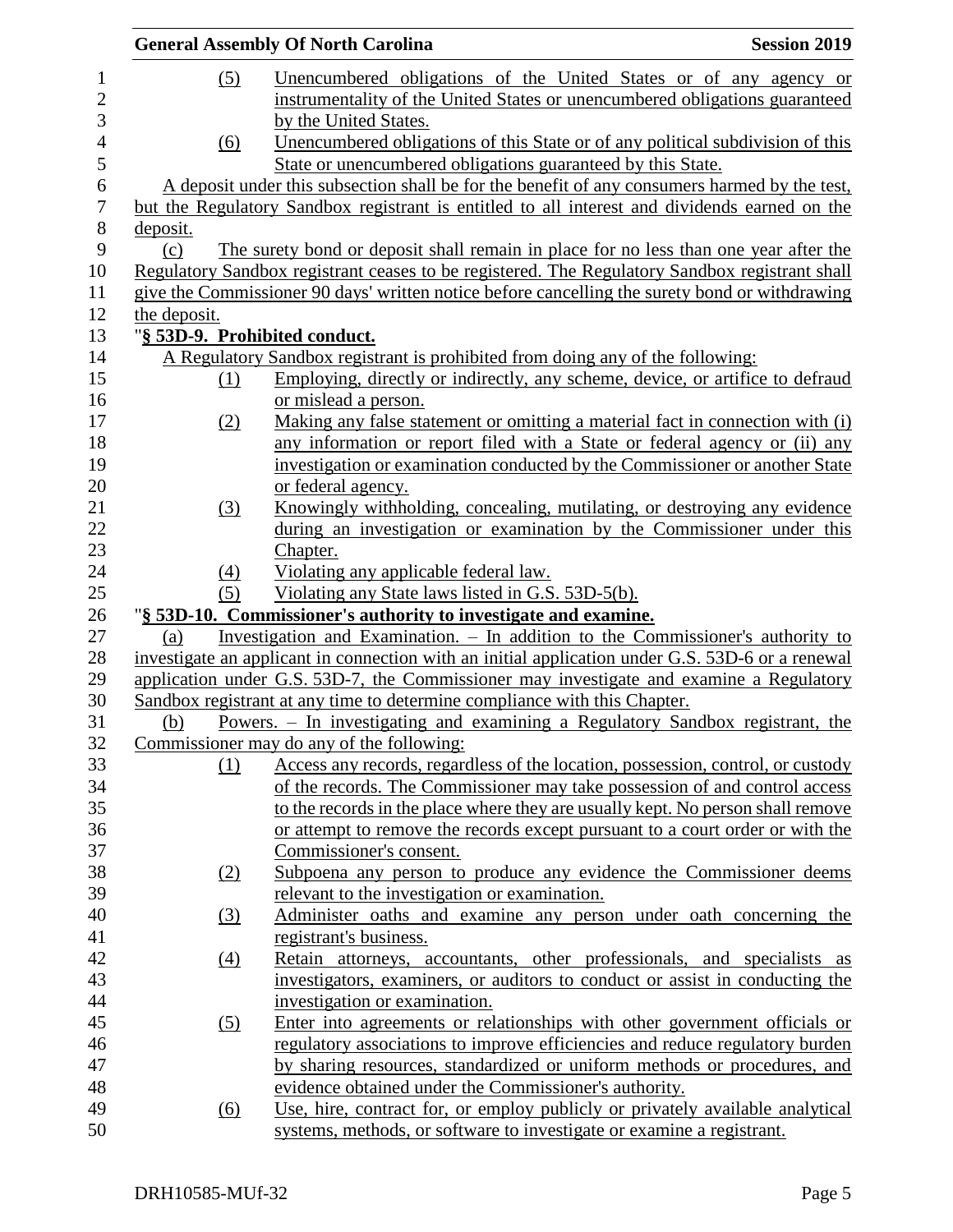|                  |                  | <b>General Assembly Of North Carolina</b>                                                        | <b>Session 2019</b> |
|------------------|------------------|--------------------------------------------------------------------------------------------------|---------------------|
| 1                | (5)              | Unencumbered obligations of the United States or of any agency or                                |                     |
| $\overline{2}$   |                  | instrumentality of the United States or unencumbered obligations guaranteed                      |                     |
| 3                |                  | by the United States.                                                                            |                     |
| $\overline{4}$   | (6)              | Unencumbered obligations of this State or of any political subdivision of this                   |                     |
| 5                |                  | State or unencumbered obligations guaranteed by this State.                                      |                     |
| 6                |                  | A deposit under this subsection shall be for the benefit of any consumers harmed by the test,    |                     |
| $\boldsymbol{7}$ |                  | but the Regulatory Sandbox registrant is entitled to all interest and dividends earned on the    |                     |
| $\,8\,$          | deposit.         |                                                                                                  |                     |
| 9                | (c)              | The surety bond or deposit shall remain in place for no less than one year after the             |                     |
| 10               |                  | Regulatory Sandbox registrant ceases to be registered. The Regulatory Sandbox registrant shall   |                     |
| 11               |                  | give the Commissioner 90 days' written notice before cancelling the surety bond or withdrawing   |                     |
| 12               | the deposit.     |                                                                                                  |                     |
| 13               |                  | "§ 53D-9. Prohibited conduct.                                                                    |                     |
| 14               |                  | A Regulatory Sandbox registrant is prohibited from doing any of the following:                   |                     |
| 15               | (1)              | Employing, directly or indirectly, any scheme, device, or artifice to defraud                    |                     |
| 16               |                  | or mislead a person.                                                                             |                     |
| 17               | (2)              | Making any false statement or omitting a material fact in connection with (i)                    |                     |
| 18               |                  | any information or report filed with a State or federal agency or (ii) any                       |                     |
| 19               |                  | investigation or examination conducted by the Commissioner or another State                      |                     |
| 20               |                  | or federal agency.                                                                               |                     |
| 21               | (3)              | Knowingly withholding, concealing, mutilating, or destroying any evidence                        |                     |
| 22               |                  | during an investigation or examination by the Commissioner under this                            |                     |
| 23               |                  | Chapter.                                                                                         |                     |
| 24               | $\left(4\right)$ | Violating any applicable federal law.                                                            |                     |
| 25               | (5)              | Violating any State laws listed in G.S. 53D-5(b).                                                |                     |
| 26               |                  | "§ 53D-10. Commissioner's authority to investigate and examine.                                  |                     |
| 27               | (a)              | Investigation and Examination. $-$ In addition to the Commissioner's authority to                |                     |
| 28               |                  | investigate an applicant in connection with an initial application under G.S. 53D-6 or a renewal |                     |
| 29               |                  | application under G.S. 53D-7, the Commissioner may investigate and examine a Regulatory          |                     |
| 30               |                  | Sandbox registrant at any time to determine compliance with this Chapter.                        |                     |
| 31               | (b)              | Powers. - In investigating and examining a Regulatory Sandbox registrant, the                    |                     |
| 32               |                  | Commissioner may do any of the following:                                                        |                     |
| 33               | (1)              | Access any records, regardless of the location, possession, control, or custody                  |                     |
| 34               |                  | of the records. The Commissioner may take possession of and control access                       |                     |
| 35               |                  | to the records in the place where they are usually kept. No person shall remove                  |                     |
| 36               |                  | or attempt to remove the records except pursuant to a court order or with the                    |                     |
| 37               |                  | Commissioner's consent.                                                                          |                     |
| 38               | (2)              | Subpoena any person to produce any evidence the Commissioner deems                               |                     |
| 39               |                  | relevant to the investigation or examination.                                                    |                     |
| 40               | (3)              | Administer oaths and examine any person under oath concerning the                                |                     |
| 41               |                  | registrant's business.                                                                           |                     |
| 42               | $\left(4\right)$ | Retain attorneys, accountants, other professionals, and specialists as                           |                     |
| 43               |                  | investigators, examiners, or auditors to conduct or assist in conducting the                     |                     |
| 44               |                  | investigation or examination.                                                                    |                     |
| 45               | (5)              | Enter into agreements or relationships with other government officials or                        |                     |
| 46               |                  | regulatory associations to improve efficiencies and reduce regulatory burden                     |                     |
| 47               |                  | by sharing resources, standardized or uniform methods or procedures, and                         |                     |
| 48               |                  | evidence obtained under the Commissioner's authority.                                            |                     |
| 49               | (6)              | Use, hire, contract for, or employ publicly or privately available analytical                    |                     |
| 50               |                  | systems, methods, or software to investigate or examine a registrant.                            |                     |